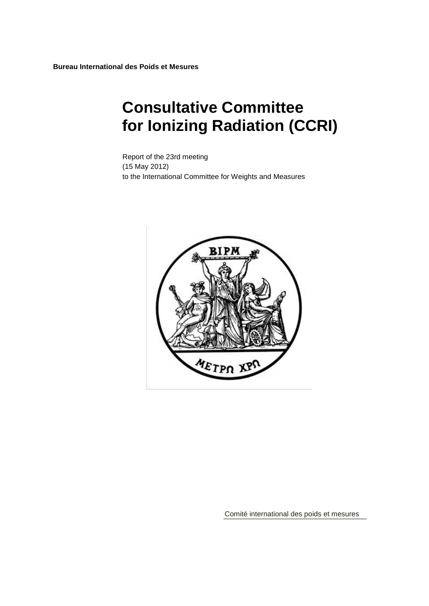# **Consultative Committee for Ionizing Radiation (CCRI)**

Report of the 23rd meeting (15 May 2012) to the International Committee for Weights and Measures



Comité international des poids et mesures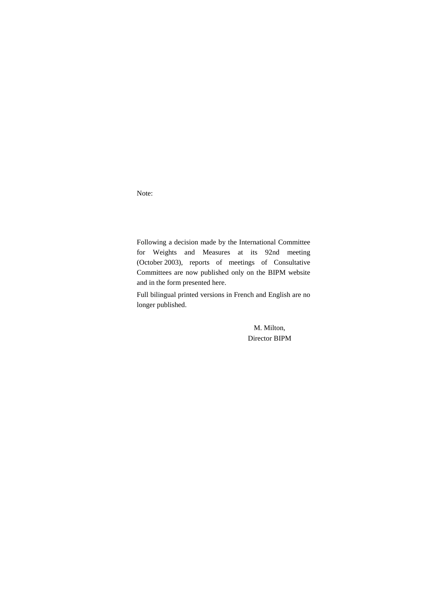Note:

Following a decision made by the International Committee for Weights and Measures at its 92nd meeting (October 2003), reports of meetings of Consultative Committees are now published only on the BIPM website and in the form presented here.

Full bilingual printed versions in French and English are no longer published.

> M. Milton, Director BIPM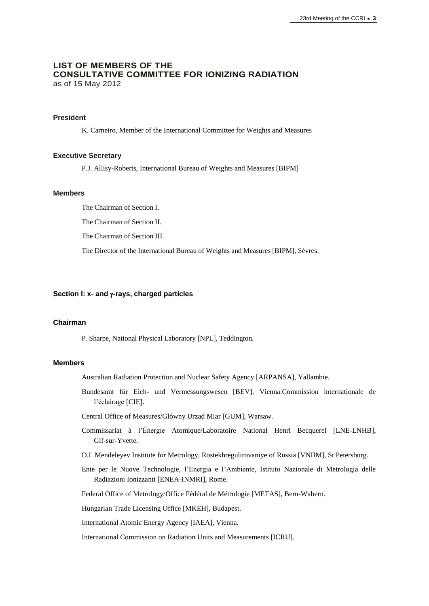## **LIST OF MEMBERS OF THE CONSULTATIVE COMMITTEE FOR IONIZING RADIATION** as of 15 May 2012

## **President**

K. Carneiro, Member of the International Committee for Weights and Measures

#### **Executive Secretary**

P.J. Allisy-Roberts, International Bureau of Weights and Measures [BIPM]

#### **Members**

The Chairman of Section I.

The Chairman of Section II.

The Chairman of Section III.

The Director of the International Bureau of Weights and Measures [BIPM], Sèvres.

#### **Section I: x- and -rays, charged particles**

#### **Chairman**

P. Sharpe, National Physical Laboratory [NPL], Teddington.

## **Members**

Australian Radiation Protection and Nuclear Safety Agency [ARPANSA], Yallambie.

Bundesamt für Eich- und Vermessungswesen [BEV], Vienna.Commission internationale de l'éclairage [CIE].

Central Office of Measures/Glówny Urzad Miar [GUM], Warsaw.

- Commissariat à l'Énergie Atomique/Laboratoire National Henri Becquerel [LNE-LNHB], Gif-sur-Yvette.
- D.I. Mendeleyev Institute for Metrology, Rostekhregulirovaniye of Russia [VNIIM], St Petersburg.
- Ente per le Nuove Technologie, l'Energia e l'Ambiente, Istituto Nazionale di Metrologia delle Radiazioni Ionizzanti [ENEA-INMRI], Rome.

Federal Office of Metrology/Office Fédéral de Métrologie [METAS], Bern-Wabern.

Hungarian Trade Licensing Office [MKEH], Budapest.

International Atomic Energy Agency [IAEA], Vienna.

International Commission on Radiation Units and Measurements [ICRU].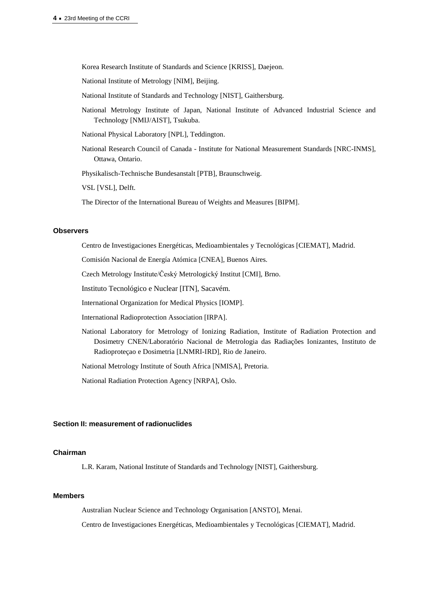Korea Research Institute of Standards and Science [KRISS], Daejeon.

National Institute of Metrology [NIM], Beijing.

- National Institute of Standards and Technology [NIST], Gaithersburg.
- National Metrology Institute of Japan, National Institute of Advanced Industrial Science and Technology [NMIJ/AIST], Tsukuba.
- National Physical Laboratory [NPL], Teddington.
- National Research Council of Canada Institute for National Measurement Standards [NRC-INMS], Ottawa, Ontario.

Physikalisch-Technische Bundesanstalt [PTB], Braunschweig.

VSL [VSL], Delft.

The Director of the International Bureau of Weights and Measures [BIPM].

#### **Observers**

Centro de Investigaciones Energéticas, Medioambientales y Tecnológicas [CIEMAT], Madrid.

Comisión Nacional de Energía Atómica [CNEA], Buenos Aires.

Czech Metrology Institute/Český Metrologický Institut [CMI], Brno.

Instituto Tecnológico e Nuclear [\[ITN\]](http://www.itn.pt/uk/uk_main.htm), Sacavém.

International Organization for Medical Physics [IOMP].

International Radioprotection Association [IRPA].

National Laboratory for Metrology of Ionizing Radiation, Institute of Radiation Protection and Dosimetry CNEN/Laboratório Nacional de Metrologia das Radiações Ionizantes, Instituto de Radioproteçao e Dosimetria [LNMRI-IRD], Rio de Janeiro.

National Metrology Institute of South Africa [NMISA], Pretoria.

National Radiation Protection Agency [NRPA], Oslo.

## **Section II: measurement of radionuclides**

## **Chairman**

L.R. Karam, National Institute of Standards and Technology [NIST], Gaithersburg.

## **Members**

Australian Nuclear Science and Technology Organisation [ANSTO], Menai.

Centro de Investigaciones Energéticas, Medioambientales y Tecnológicas [CIEMAT], Madrid.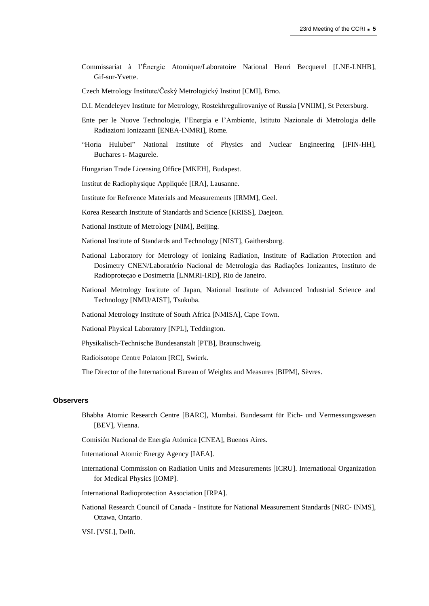- Commissariat à l'Énergie Atomique/Laboratoire National Henri Becquerel [LNE-LNHB], Gif-sur-Yvette.
- Czech Metrology Institute/Český Metrologický Institut [CMI], Brno.
- D.I. Mendeleyev Institute for Metrology, Rostekhregulirovaniye of Russia [VNIIM], St Petersburg.
- Ente per le Nuove Technologie, l'Energia e l'Ambiente, Istituto Nazionale di Metrologia delle Radiazioni Ionizzanti [ENEA-INMRI], Rome.
- "Horia Hulubei" National Institute of Physics and Nuclear Engineering [IFIN-HH], Buchares t- Magurele.
- Hungarian Trade Licensing Office [MKEH], Budapest.
- Institut de Radiophysique Appliquée [IRA], Lausanne.
- Institute for Reference Materials and Measurements [IRMM], Geel.
- Korea Research Institute of Standards and Science [KRISS], Daejeon.
- National Institute of Metrology [NIM], Beijing.
- National Institute of Standards and Technology [NIST], Gaithersburg.
- National Laboratory for Metrology of Ionizing Radiation, Institute of Radiation Protection and Dosimetry CNEN/Laboratório Nacional de Metrologia das Radiações Ionizantes, Instituto de Radioproteçao e Dosimetria [LNMRI-IRD], Rio de Janeiro.
- National Metrology Institute of Japan, National Institute of Advanced Industrial Science and Technology [NMIJ/AIST], Tsukuba.
- National Metrology Institute of South Africa [NMISA], Cape Town.
- National Physical Laboratory [NPL], Teddington.
- Physikalisch-Technische Bundesanstalt [PTB], Braunschweig.
- Radioisotope Centre Polatom [RC], Swierk.
- The Director of the International Bureau of Weights and Measures [BIPM], Sèvres.

#### **Observers**

- Bhabha Atomic Research Centre [BARC], Mumbai. Bundesamt für Eich- und Vermessungswesen [BEV], Vienna.
- Comisión Nacional de Energía Atómica [CNEA], Buenos Aires.
- International Atomic Energy Agency [IAEA].
- International Commission on Radiation Units and Measurements [ICRU]. International Organization for Medical Physics [IOMP].
- International Radioprotection Association [IRPA].
- National Research Council of Canada Institute for National Measurement Standards [NRC- INMS], Ottawa, Ontario.

VSL [VSL], Delft.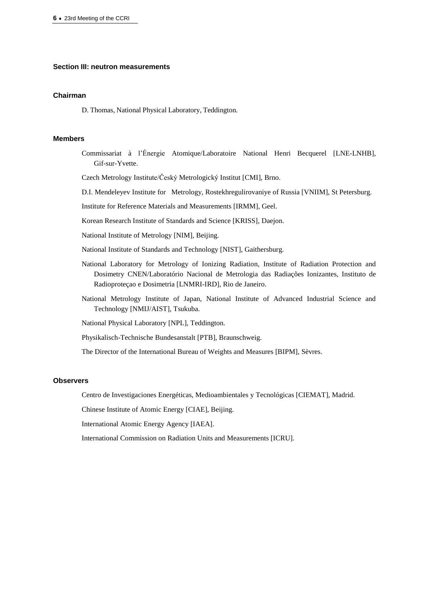#### **Section III: neutron measurements**

#### **Chairman**

D. Thomas, National Physical Laboratory, Teddington.

#### **Members**

Commissariat à l'Énergie Atomique/Laboratoire National Henri Becquerel [LNE-LNHB], Gif-sur-Yvette.

Czech Metrology Institute/Český Metrologický Institut [CMI], Brno.

D.I. Mendeleyev Institute for Metrology, Rostekhregulirovaniye of Russia [VNIIM], St Petersburg.

Institute for Reference Materials and Measurements [IRMM], Geel.

Korean Research Institute of Standards and Science [KRISS], Daejon.

National Institute of Metrology [NIM], Beijing.

- National Institute of Standards and Technology [NIST], Gaithersburg.
- National Laboratory for Metrology of Ionizing Radiation, Institute of Radiation Protection and Dosimetry CNEN/Laboratório Nacional de Metrologia das Radiações Ionizantes, Instituto de Radioproteçao e Dosimetria [LNMRI-IRD], Rio de Janeiro.
- National Metrology Institute of Japan, National Institute of Advanced Industrial Science and Technology [NMIJ/AIST], Tsukuba.

National Physical Laboratory [NPL], Teddington.

Physikalisch-Technische Bundesanstalt [PTB], Braunschweig.

The Director of the International Bureau of Weights and Measures [BIPM], Sèvres.

## **Observers**

Centro de Investigaciones Energéticas, Medioambientales y Tecnológicas [CIEMAT], Madrid.

Chinese Institute of Atomic Energy [CIAE], Beijing.

International Atomic Energy Agency [IAEA].

International Commission on Radiation Units and Measurements [ICRU].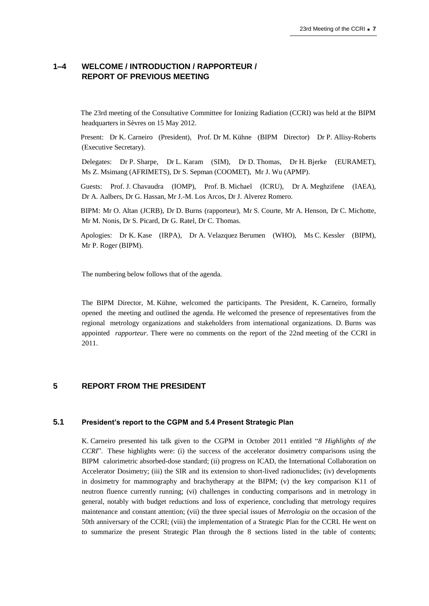## **1–4 WELCOME / INTRODUCTION / RAPPORTEUR / REPORT OF PREVIOUS MEETING**

The 23rd meeting of the Consultative Committee for Ionizing Radiation (CCRI) was held at the BIPM headquarters in Sèvres on 15 May 2012.

Present: Dr K. Carneiro (President), Prof. Dr M. Kühne (BIPM Director) Dr P. Allisy-Roberts (Executive Secretary).

Delegates: Dr P. Sharpe, Dr L. Karam (SIM), Dr D. Thomas, Dr H. Bjerke (EURAMET), Ms Z. Msimang (AFRIMETS), Dr S. Sepman (COOMET), Mr J. Wu (APMP).

Guests: Prof. J. Chavaudra (IOMP), Prof. B. Michael (ICRU), Dr A. Meghzifene (IAEA), Dr A. Aalbers, Dr G. Hassan, Mr J.-M. Los Arcos, Dr J. Alverez Romero.

BIPM: Mr O. Altan (JCRB), Dr D. Burns (rapporteur), Mr S. Courte, Mr A. Henson, Dr C. Michotte, Mr M. Nonis, Dr S. Picard, Dr G. Ratel, Dr C. Thomas.

Apologies: Dr K. Kase (IRPA), Dr A. Velazquez Berumen (WHO), Ms C. Kessler (BIPM), Mr P. Roger (BIPM).

The numbering below follows that of the agenda.

The BIPM Director, M. Kühne, welcomed the participants. The President, K. Carneiro, formally opened the meeting and outlined the agenda. He welcomed the presence of representatives from the regional metrology organizations and stakeholders from international organizations. D. Burns was appointed *rapporteur*. There were no comments on the report of the 22nd meeting of the CCRI in 2011.

## **5 REPORT FROM THE PRESIDENT**

#### **5.1 President's report to the CGPM and 5.4 Present Strategic Plan**

K. Carneiro presented his talk given to the CGPM in October 2011 entitled "*8 Highlights of the CCRI*". These highlights were: (i) the success of the accelerator dosimetry comparisons using the BIPM calorimetric absorbed-dose standard; (ii) progress on ICAD, the International Collaboration on Accelerator Dosimetry; (iii) the SIR and its extension to short-lived radionuclides; (iv) developments in dosimetry for mammography and brachytherapy at the BIPM; (v) the key comparison K11 of neutron fluence currently running; (vi) challenges in conducting comparisons and in metrology in general, notably with budget reductions and loss of experience, concluding that metrology requires maintenance and constant attention; (vii) the three special issues of *Metrologia* on the occasion of the 50th anniversary of the CCRI; (viii) the implementation of a Strategic Plan for the CCRI. He went on to summarize the present Strategic Plan through the 8 sections listed in the table of contents;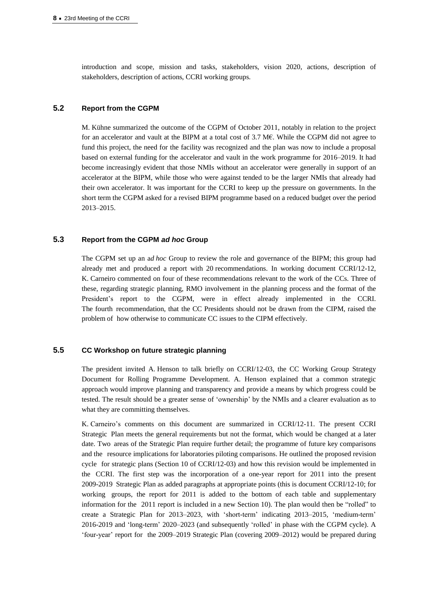introduction and scope, mission and tasks, stakeholders, vision 2020, actions, description of stakeholders, description of actions, CCRI working groups.

## **5.2 Report from the CGPM**

M. Kühne summarized the outcome of the CGPM of October 2011, notably in relation to the project for an accelerator and vault at the BIPM at a total cost of 3.7 M€. While the CGPM did not agree to fund this project, the need for the facility was recognized and the plan was now to include a proposal based on external funding for the accelerator and vault in the work programme for 2016–2019. It had become increasingly evident that those NMIs without an accelerator were generally in support of an accelerator at the BIPM, while those who were against tended to be the larger NMIs that already had their own accelerator. It was important for the CCRI to keep up the pressure on governments. In the short term the CGPM asked for a revised BIPM programme based on a reduced budget over the period 2013–2015.

## **5.3 Report from the CGPM** *ad hoc* **Group**

The CGPM set up an a*d hoc* Group to review the role and governance of the BIPM; this group had already met and produced a report with 20 recommendations. In working document CCRI/12-12, K. Carneiro commented on four of these recommendations relevant to the work of the CCs. Three of these, regarding strategic planning, RMO involvement in the planning process and the format of the President's report to the CGPM, were in effect already implemented in the CCRI. The fourth recommendation, that the CC Presidents should not be drawn from the CIPM, raised the problem of how otherwise to communicate CC issues to the CIPM effectively.

## **5.5 CC Workshop on future strategic planning**

The president invited A. Henson to talk briefly on CCRI/12-03, the CC Working Group Strategy Document for Rolling Programme Development. A. Henson explained that a common strategic approach would improve planning and transparency and provide a means by which progress could be tested. The result should be a greater sense of 'ownership' by the NMIs and a clearer evaluation as to what they are committing themselves.

K. Carneiro's comments on this document are summarized in CCRI/12-11. The present CCRI Strategic Plan meets the general requirements but not the format, which would be changed at a later date. Two areas of the Strategic Plan require further detail; the programme of future key comparisons and the resource implications for laboratories piloting comparisons. He outlined the proposed revision cycle for strategic plans (Section 10 of CCRI/12-03) and how this revision would be implemented in the CCRI. The first step was the incorporation of a one-year report for 2011 into the present 2009-2019 Strategic Plan as added paragraphs at appropriate points (this is document CCRI/12-10; for working groups, the report for 2011 is added to the bottom of each table and supplementary information for the 2011 report is included in a new Section 10). The plan would then be "rolled" to create a Strategic Plan for 2013–2023, with 'short-term' indicating 2013–2015, 'medium-term' 2016-2019 and 'long-term' 2020–2023 (and subsequently 'rolled' in phase with the CGPM cycle). A 'four-year' report for the 2009–2019 Strategic Plan (covering 2009–2012) would be prepared during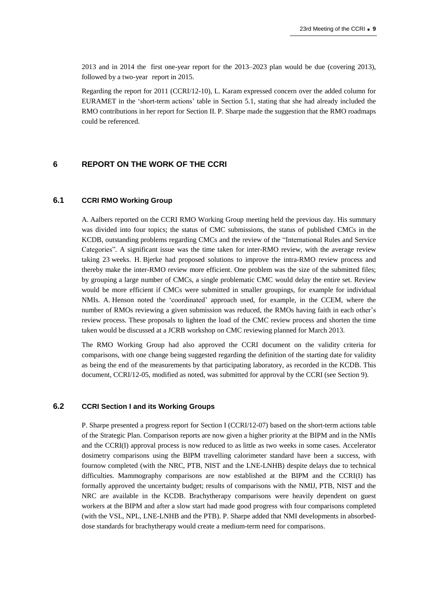2013 and in 2014 the first one-year report for the 2013–2023 plan would be due (covering 2013), followed by a two-year report in 2015.

Regarding the report for 2011 (CCRI/12-10), L. Karam expressed concern over the added column for EURAMET in the 'short-term actions' table in Section 5.1, stating that she had already included the RMO contributions in her report for Section II. P. Sharpe made the suggestion that the RMO roadmaps could be referenced.

## **6 REPORT ON THE WORK OF THE CCRI**

## **6.1 CCRI RMO Working Group**

A. Aalbers reported on the CCRI RMO Working Group meeting held the previous day. His summary was divided into four topics; the status of CMC submissions, the status of published CMCs in the KCDB, outstanding problems regarding CMCs and the review of the "International Rules and Service Categories". A significant issue was the time taken for inter-RMO review, with the average review taking 23 weeks. H. Bjerke had proposed solutions to improve the intra-RMO review process and thereby make the inter-RMO review more efficient. One problem was the size of the submitted files; by grouping a large number of CMCs, a single problematic CMC would delay the entire set. Review would be more efficient if CMCs were submitted in smaller groupings, for example for individual NMIs. A. Henson noted the 'coordinated' approach used, for example, in the CCEM, where the number of RMOs reviewing a given submission was reduced, the RMOs having faith in each other's review process. These proposals to lighten the load of the CMC review process and shorten the time taken would be discussed at a JCRB workshop on CMC reviewing planned for March 2013.

The RMO Working Group had also approved the CCRI document on the validity criteria for comparisons, with one change being suggested regarding the definition of the starting date for validity as being the end of the measurements by that participating laboratory, as recorded in the KCDB. This document, CCRI/12-05, modified as noted, was submitted for approval by the CCRI (see Section 9).

## **6.2 CCRI Section I and its Working Groups**

P. Sharpe presented a progress report for Section I (CCRI/12-07) based on the short-term actions table of the Strategic Plan. Comparison reports are now given a higher priority at the BIPM and in the NMIs and the CCRI(I) approval process is now reduced to as little as two weeks in some cases. Accelerator dosimetry comparisons using the BIPM travelling calorimeter standard have been a success, with fournow completed (with the NRC, PTB, NIST and the LNE-LNHB) despite delays due to technical difficulties. Mammography comparisons are now established at the BIPM and the CCRI(I) has formally approved the uncertainty budget; results of comparisons with the NMIJ, PTB, NIST and the NRC are available in the KCDB. Brachytherapy comparisons were heavily dependent on guest workers at the BIPM and after a slow start had made good progress with four comparisons completed (with the VSL, NPL, LNE-LNHB and the PTB). P. Sharpe added that NMI developments in absorbeddose standards for brachytherapy would create a medium-term need for comparisons.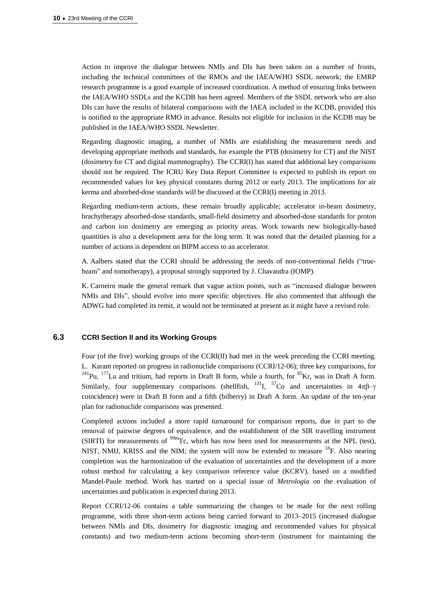Action to improve the dialogue between NMIs and DIs has been taken on a number of fronts, including the technical committees of the RMOs and the IAEA/WHO SSDL network; the EMRP research programme is a good example of increased coordination. A method of ensuring links between the IAEA/WHO SSDLs and the KCDB has been agreed. Members of the SSDL network who are also DIs can have the results of bilateral comparisons with the IAEA included in the KCDB, provided this is notified to the appropriate RMO in advance. Results not eligible for inclusion in the KCDB may be published in the IAEA/WHO SSDL Newsletter.

Regarding diagnostic imaging, a number of NMIs are establishing the measurement needs and developing appropriate methods and standards, for example the PTB (dosimetry for CT) and the NIST (dosimetry for CT and digital mammography). The CCRI(I) has stated that additional key comparisons should not be required. The ICRU Key Data Report Committee is expected to publish its report on recommended values for key physical constants during 2012 or early 2013. The implications for air kerma and absorbed-dose standards will be discussed at the CCRI(I) meeting in 2013.

Regarding medium-term actions, these remain broadly applicable; accelerator in-beam dosimetry, brachytherapy absorbed-dose standards, small-field dosimetry and absorbed-dose standards for proton and carbon ion dosimetry are emerging as priority areas. Work towards new biologically-based quantities is also a development area for the long term. It was noted that the detailed planning for a number of actions is dependent on BIPM access to an accelerator.

A. Aalbers stated that the CCRI should be addressing the needs of non-conventional fields ("truebeam" and tomotherapy), a proposal strongly supported by J. Chavaudra (IOMP).

K. Carneiro made the general remark that vague action points, such as "increased dialogue between NMIs and DIs", should evolve into more specific objectives. He also commented that although the ADWG had completed its remit, it would not be terminated at present as it might have a revised role.

## **6.3 CCRI Section II and its Working Groups**

Four (of the five) working groups of the CCRI(II) had met in the week preceding the CCRI meeting. L. Karam reported on progress in radionuclide comparisons (CCRI/12-06); three key comparisons, for  $^{241}$ Pu,  $^{177}$ Lu and tritium, had reports in Draft B form, while a fourth, for  $^{85}$ Kr, was in Draft A form. Similarly, four supplementary comparisons (shellfish, <sup>131</sup>I, <sup>57</sup>Co and uncertainties in  $4\pi\beta-\gamma$ coincidence) were in Draft B form and a fifth (bilberry) in Draft A form. An update of the ten-year plan for radionuclide comparisons was presented.

Completed actions included a more rapid turnaround for comparison reports, due in part to the removal of pairwise degrees of equivalence, and the establishment of the SIR travelling instrument (SIRTI) for measurements of  $^{99m}$ Tc, which has now been used for measurements at the NPL (test), NIST, NMIJ, KRISS and the NIM; the system will now be extended to measure <sup>18</sup>F. Also nearing completion was the harmonization of the evaluation of uncertainties and the development of a more robust method for calculating a key comparison reference value (KCRV), based on a modified Mandel-Paule method. Work has started on a special issue of *Metrologia* on the evaluation of uncertainties and publication is expected during 2013.

Report CCRI/12-06 contains a table summarizing the changes to be made for the next rolling programme, with three short-term actions being carried forward to 2013–2015 (increased dialogue between NMIs and DIs, dosimetry for diagnostic imaging and recommended values for physical constants) and two medium-term actions becoming short-term (instrument for maintaining the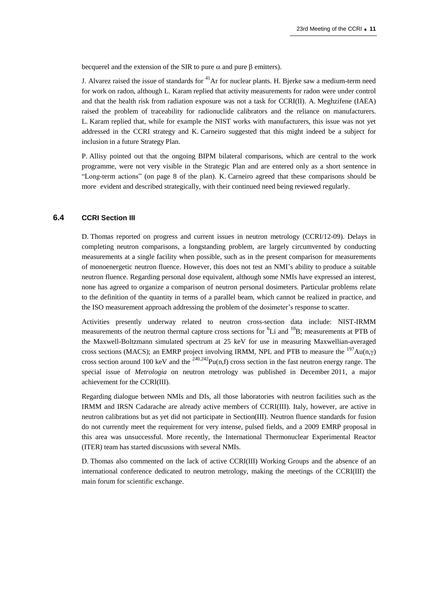becquerel and the extension of the SIR to pure  $\alpha$  and pure  $\beta$  emitters).

J. Alvarez raised the issue of standards for  $^{41}$ Ar for nuclear plants. H. Bjerke saw a medium-term need for work on radon, although L. Karam replied that activity measurements for radon were under control and that the health risk from radiation exposure was not a task for CCRI(II). A. Meghzifene (IAEA) raised the problem of traceability for radionuclide calibrators and the reliance on manufacturers. L. Karam replied that, while for example the NIST works with manufacturers, this issue was not yet addressed in the CCRI strategy and K. Carneiro suggested that this might indeed be a subject for inclusion in a future Strategy Plan.

P. Allisy pointed out that the ongoing BIPM bilateral comparisons, which are central to the work programme, were not very visible in the Strategic Plan and are entered only as a short sentence in "Long-term actions" (on page 8 of the plan). K. Carneiro agreed that these comparisons should be more evident and described strategically, with their continued need being reviewed regularly.

## **6.4 CCRI Section III**

D. Thomas reported on progress and current issues in neutron metrology (CCRI/12-09). Delays in completing neutron comparisons, a longstanding problem, are largely circumvented by conducting measurements at a single facility when possible, such as in the present comparison for measurements of monoenergetic neutron fluence. However, this does not test an NMI's ability to produce a suitable neutron fluence. Regarding personal dose equivalent, although some NMIs have expressed an interest, none has agreed to organize a comparison of neutron personal dosimeters. Particular problems relate to the definition of the quantity in terms of a parallel beam, which cannot be realized in practice, and the ISO measurement approach addressing the problem of the dosimeter's response to scatter.

Activities presently underway related to neutron cross-section data include: NIST-IRMM measurements of the neutron thermal capture cross sections for  ${}^{6}Li$  and  ${}^{10}B$ ; measurements at PTB of the Maxwell-Boltzmann simulated spectrum at 25 keV for use in measuring Maxwellian-averaged cross sections (MACS); an EMRP project involving IRMM, NPL and PTB to measure the  $^{197}Au(n,\gamma)$ cross section around 100 keV and the  $^{240,242}$ Pu(n,f) cross section in the fast neutron energy range. The special issue of *Metrologia* on neutron metrology was published in December 2011, a major achievement for the CCRI(III).

Regarding dialogue between NMIs and DIs, all those laboratories with neutron facilities such as the IRMM and IRSN Cadarache are already active members of CCRI(III). Italy, however, are active in neutron calibrations but as yet did not participate in Section(III). Neutron fluence standards for fusion do not currently meet the requirement for very intense, pulsed fields, and a 2009 EMRP proposal in this area was unsuccessful. More recently, the International Thermonuclear Experimental Reactor (ITER) team has started discussions with several NMIs.

D. Thomas also commented on the lack of active CCRI(III) Working Groups and the absence of an international conference dedicated to neutron metrology, making the meetings of the CCRI(III) the main forum for scientific exchange.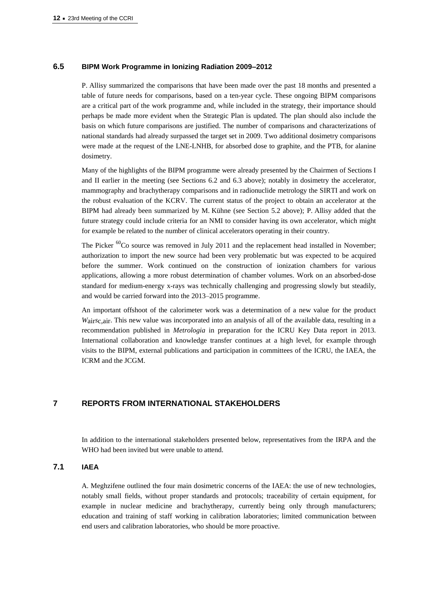#### **6.5 BIPM Work Programme in Ionizing Radiation 2009–2012**

P. Allisy summarized the comparisons that have been made over the past 18 months and presented a table of future needs for comparisons, based on a ten-year cycle. These ongoing BIPM comparisons are a critical part of the work programme and, while included in the strategy, their importance should perhaps be made more evident when the Strategic Plan is updated. The plan should also include the basis on which future comparisons are justified. The number of comparisons and characterizations of national standards had already surpassed the target set in 2009. Two additional dosimetry comparisons were made at the request of the LNE-LNHB, for absorbed dose to graphite, and the PTB, for alanine dosimetry.

Many of the highlights of the BIPM programme were already presented by the Chairmen of Sections I and II earlier in the meeting (see Sections 6.2 and 6.3 above); notably in dosimetry the accelerator, mammography and brachytherapy comparisons and in radionuclide metrology the SIRTI and work on the robust evaluation of the KCRV. The current status of the project to obtain an accelerator at the BIPM had already been summarized by M. Kühne (see Section 5.2 above); P. Allisy added that the future strategy could include criteria for an NMI to consider having its own accelerator, which might for example be related to the number of clinical accelerators operating in their country.

The Picker <sup>60</sup>Co source was removed in July 2011 and the replacement head installed in November; authorization to import the new source had been very problematic but was expected to be acquired before the summer. Work continued on the construction of ionization chambers for various applications, allowing a more robust determination of chamber volumes. Work on an absorbed-dose standard for medium-energy x-rays was technically challenging and progressing slowly but steadily, and would be carried forward into the 2013–2015 programme.

An important offshoot of the calorimeter work was a determination of a new value for the product *W*air*s*c,air. This new value was incorporated into an analysis of all of the available data, resulting in a recommendation published in *Metrologia* in preparation for the ICRU Key Data report in 2013. International collaboration and knowledge transfer continues at a high level, for example through visits to the BIPM, external publications and participation in committees of the ICRU, the IAEA, the ICRM and the JCGM.

## **7 REPORTS FROM INTERNATIONAL STAKEHOLDERS**

In addition to the international stakeholders presented below, representatives from the IRPA and the WHO had been invited but were unable to attend.

## **7.1 IAEA**

A. Meghzifene outlined the four main dosimetric concerns of the IAEA: the use of new technologies, notably small fields, without proper standards and protocols; traceability of certain equipment, for example in nuclear medicine and brachytherapy, currently being only through manufacturers; education and training of staff working in calibration laboratories; limited communication between end users and calibration laboratories, who should be more proactive.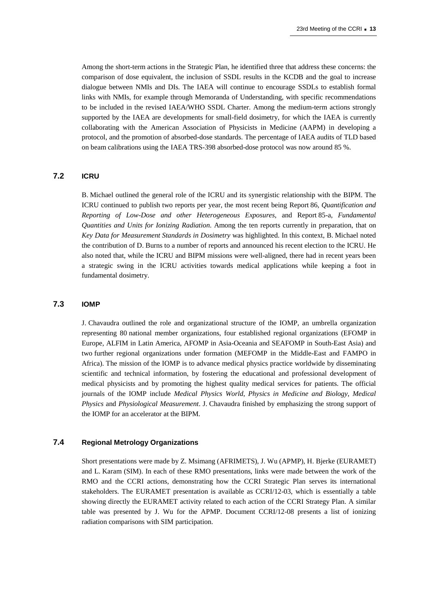Among the short-term actions in the Strategic Plan, he identified three that address these concerns: the comparison of dose equivalent, the inclusion of SSDL results in the KCDB and the goal to increase dialogue between NMIs and DIs. The IAEA will continue to encourage SSDLs to establish formal links with NMIs, for example through Memoranda of Understanding, with specific recommendations to be included in the revised IAEA/WHO SSDL Charter. Among the medium-term actions strongly supported by the IAEA are developments for small-field dosimetry, for which the IAEA is currently collaborating with the American Association of Physicists in Medicine (AAPM) in developing a protocol, and the promotion of absorbed-dose standards. The percentage of IAEA audits of TLD based on beam calibrations using the IAEA TRS-398 absorbed-dose protocol was now around 85 %.

## **7.2 ICRU**

B. Michael outlined the general role of the ICRU and its synergistic relationship with the BIPM. The ICRU continued to publish two reports per year, the most recent being Report 86, *Quantification and Reporting of Low-Dose and other Heterogeneous Exposures*, and Report 85-a, *Fundamental Quantities and Units for Ionizing Radiation*. Among the ten reports currently in preparation, that on *Key Data for Measurement Standards in Dosimetry* was highlighted. In this context, B. Michael noted the contribution of D. Burns to a number of reports and announced his recent election to the ICRU. He also noted that, while the ICRU and BIPM missions were well-aligned, there had in recent years been a strategic swing in the ICRU activities towards medical applications while keeping a foot in fundamental dosimetry.

## **7.3 IOMP**

J. Chavaudra outlined the role and organizational structure of the IOMP, an umbrella organization representing 80 national member organizations, four established regional organizations (EFOMP in Europe, ALFIM in Latin America, AFOMP in Asia-Oceania and SEAFOMP in South-East Asia) and two further regional organizations under formation (MEFOMP in the Middle-East and FAMPO in Africa). The mission of the IOMP is to advance medical physics practice worldwide by disseminating scientific and technical information, by fostering the educational and professional development of medical physicists and by promoting the highest quality medical services for patients. The official journals of the IOMP include *Medical Physics World*, *Physics in Medicine and Biology*, *Medical Physics* and *Physiological Measurement*. J. Chavaudra finished by emphasizing the strong support of the IOMP for an accelerator at the BIPM.

## **7.4 Regional Metrology Organizations**

Short presentations were made by Z. Msimang (AFRIMETS), J. Wu (APMP), H. Bjerke (EURAMET) and L. Karam (SIM). In each of these RMO presentations, links were made between the work of the RMO and the CCRI actions, demonstrating how the CCRI Strategic Plan serves its international stakeholders. The EURAMET presentation is available as CCRI/12-03, which is essentially a table showing directly the EURAMET activity related to each action of the CCRI Strategy Plan. A similar table was presented by J. Wu for the APMP. Document CCRI/12-08 presents a list of ionizing radiation comparisons with SIM participation.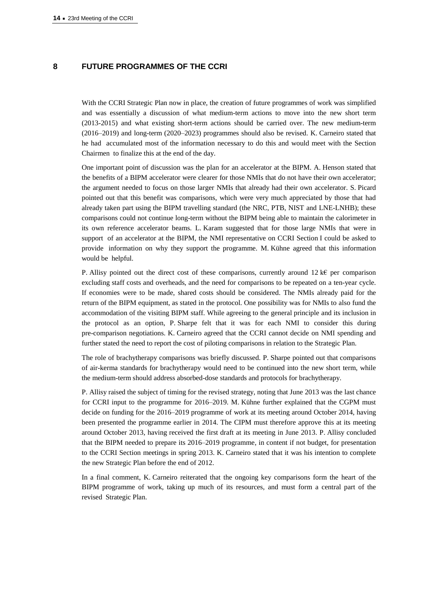## **8 FUTURE PROGRAMMES OF THE CCRI**

With the CCRI Strategic Plan now in place, the creation of future programmes of work was simplified and was essentially a discussion of what medium-term actions to move into the new short term (2013-2015) and what existing short-term actions should be carried over. The new medium-term (2016–2019) and long-term (2020–2023) programmes should also be revised. K. Carneiro stated that he had accumulated most of the information necessary to do this and would meet with the Section Chairmen to finalize this at the end of the day.

One important point of discussion was the plan for an accelerator at the BIPM. A. Henson stated that the benefits of a BIPM accelerator were clearer for those NMIs that do not have their own accelerator; the argument needed to focus on those larger NMIs that already had their own accelerator. S. Picard pointed out that this benefit was comparisons, which were very much appreciated by those that had already taken part using the BIPM travelling standard (the NRC, PTB, NIST and LNE-LNHB); these comparisons could not continue long-term without the BIPM being able to maintain the calorimeter in its own reference accelerator beams. L. Karam suggested that for those large NMIs that were in support of an accelerator at the BIPM, the NMI representative on CCRI Section I could be asked to provide information on why they support the programme. M. Kühne agreed that this information would be helpful.

P. Allisy pointed out the direct cost of these comparisons, currently around 12 k€ per comparison excluding staff costs and overheads, and the need for comparisons to be repeated on a ten-year cycle. If economies were to be made, shared costs should be considered. The NMIs already paid for the return of the BIPM equipment, as stated in the protocol. One possibility was for NMIs to also fund the accommodation of the visiting BIPM staff. While agreeing to the general principle and its inclusion in the protocol as an option, P. Sharpe felt that it was for each NMI to consider this during pre-comparison negotiations. K. Carneiro agreed that the CCRI cannot decide on NMI spending and further stated the need to report the cost of piloting comparisons in relation to the Strategic Plan.

The role of brachytherapy comparisons was briefly discussed. P. Sharpe pointed out that comparisons of air-kerma standards for brachytherapy would need to be continued into the new short term, while the medium-term should address absorbed-dose standards and protocols for brachytherapy.

P. Allisy raised the subject of timing for the revised strategy, noting that June 2013 was the last chance for CCRI input to the programme for 2016–2019. M. Kühne further explained that the CGPM must decide on funding for the 2016–2019 programme of work at its meeting around October 2014, having been presented the programme earlier in 2014. The CIPM must therefore approve this at its meeting around October 2013, having received the first draft at its meeting in June 2013. P. Allisy concluded that the BIPM needed to prepare its 2016–2019 programme, in content if not budget, for presentation to the CCRI Section meetings in spring 2013. K. Carneiro stated that it was his intention to complete the new Strategic Plan before the end of 2012.

In a final comment, K. Carneiro reiterated that the ongoing key comparisons form the heart of the BIPM programme of work, taking up much of its resources, and must form a central part of the revised Strategic Plan.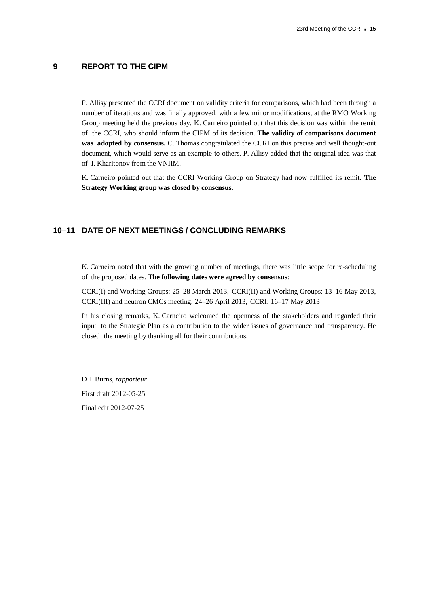# **9 REPORT TO THE CIPM**

P. Allisy presented the CCRI document on validity criteria for comparisons, which had been through a number of iterations and was finally approved, with a few minor modifications, at the RMO Working Group meeting held the previous day. K. Carneiro pointed out that this decision was within the remit of the CCRI, who should inform the CIPM of its decision. **The validity of comparisons document was adopted by consensus.** C. Thomas congratulated the CCRI on this precise and well thought-out document, which would serve as an example to others. P. Allisy added that the original idea was that of I. Kharitonov from the VNIIM.

K. Carneiro pointed out that the CCRI Working Group on Strategy had now fulfilled its remit. **The Strategy Working group was closed by consensus.**

## **10–11 DATE OF NEXT MEETINGS / CONCLUDING REMARKS**

K. Carneiro noted that with the growing number of meetings, there was little scope for re-scheduling of the proposed dates. **The following dates were agreed by consensus**:

CCRI(I) and Working Groups: 25–28 March 2013, CCRI(II) and Working Groups: 13–16 May 2013, CCRI(III) and neutron CMCs meeting: 24–26 April 2013, CCRI: 16–17 May 2013

In his closing remarks, K. Carneiro welcomed the openness of the stakeholders and regarded their input to the Strategic Plan as a contribution to the wider issues of governance and transparency. He closed the meeting by thanking all for their contributions.

D T Burns, *rapporteur* First draft 2012-05-25 Final edit 2012-07-25